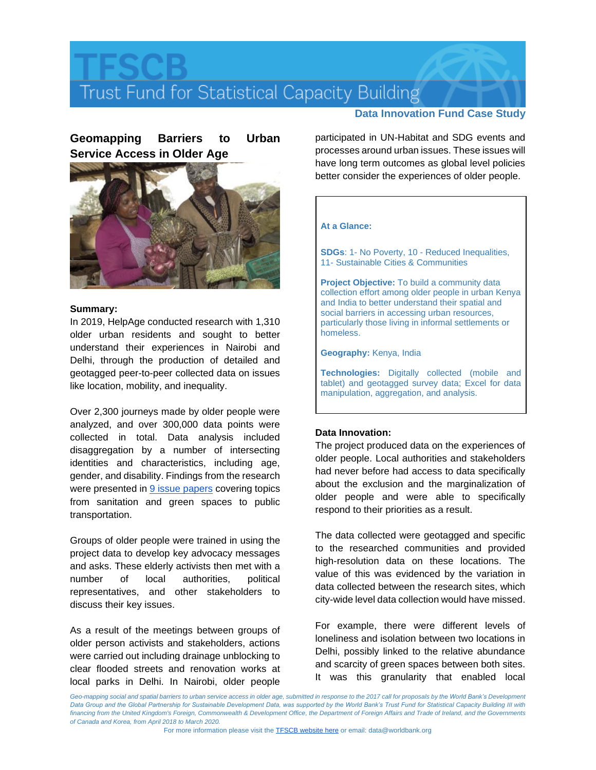# Trust Fund for Statistical Capacity Building

### **Data Innovation Fund Case Study**

## **Geomapping Barriers to Urban Service Access in Older Age**



#### **Summary:**

In 2019, HelpAge conducted research with 1,310 older urban residents and sought to better understand their experiences in Nairobi and Delhi, through the production of detailed and geotagged peer-to-peer collected data on issues like location, mobility, and inequality.

Over 2,300 journeys made by older people were analyzed, and over 300,000 data points were collected in total. Data analysis included disaggregation by a number of intersecting identities and characteristics, including age, gender, and disability. Findings from the research were presented in **9** issue papers covering topics from sanitation and green spaces to public transportation.

Groups of older people were trained in using the project data to develop key advocacy messages and asks. These elderly activists then met with a number of local authorities, political representatives, and other stakeholders to discuss their key issues.

As a result of the meetings between groups of older person activists and stakeholders, actions were carried out including drainage unblocking to clear flooded streets and renovation works at local parks in Delhi. In Nairobi, older people

participated in UN-Habitat and SDG events and processes around urban issues. These issues will have long term outcomes as global level policies better consider the experiences of older people.

#### **At a Glance:**

**SDGs**: 1- No Poverty, 10 - Reduced Inequalities, 11- Sustainable Cities & Communities

**Project Objective:** To build a community data collection effort among older people in urban Kenya and India to better understand their spatial and social barriers in accessing urban resources, particularly those living in informal settlements or homeless.

**Geography:** Kenya, India

**Technologies:** Digitally collected (mobile and tablet) and geotagged survey data; Excel for data manipulation, aggregation, and analysis.

#### **Data Innovation:**

The project produced data on the experiences of older people. Local authorities and stakeholders had never before had access to data specifically about the exclusion and the marginalization of older people and were able to specifically respond to their priorities as a result.

The data collected were geotagged and specific to the researched communities and provided high-resolution data on these locations. The value of this was evidenced by the variation in data collected between the research sites, which city-wide level data collection would have missed.

For example, there were different levels of loneliness and isolation between two locations in Delhi, possibly linked to the relative abundance and scarcity of green spaces between both sites. It was this granularity that enabled local

Geo-mapping social and spatial barriers to urban service access in older age, submitted in response to the 2017 call for proposals by the World Bank's Development Data Group and the Global Partnership for Sustainable Development Data, was supported by the World Bank's Trust Fund for Statistical Capacity Building III with *financing from the United Kingdom's Foreign, Commonwealth & Development Office, the Department of Foreign Affairs and Trade of Ireland, and the Governments of Canada and Korea, from April 2018 to March 2020.*